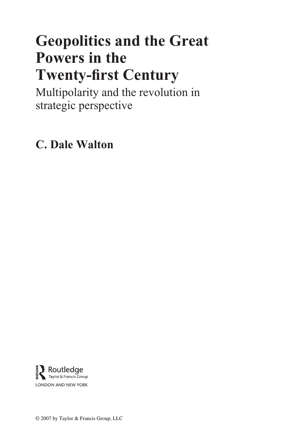# **Geopolitics and the Great Powers in the Twenty-first Century**

Multipolarity and the revolution in strategic perspective

**C. Dale Walton**

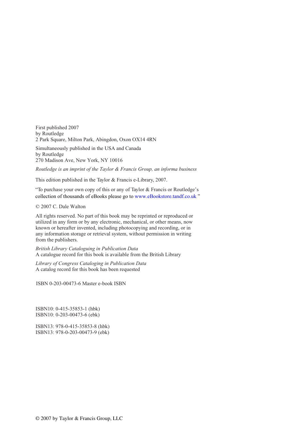First published 2007 by Routledge 2 Park Square, Milton Park, Abingdon, Oxon OX14 4RN

Simultaneously published in the USA and Canada by Routledge 270 Madison Ave, New York, NY 10016

*Routledge is an imprint of the Taylor & Francis Group, an informa business*

This edition published in the Taylor & Francis e-Library, 2007.

"To purchase your own copy of this or any of Taylor & Francis or Routledge's collection of thousands of eBooks please go to [www.eBookstore.tandf.co.uk.](http://www.ebookstore.tandf.co.uk/html/splash.asp)"

© 2007 C. Dale Walton

All rights reserved. No part of this book may be reprinted or reproduced or utilized in any form or by any electronic, mechanical, or other means, now known or hereafter invented, including photocopying and recording, or in any information storage or retrieval system, without permission in writing from the publishers.

*British Library Cataloguing in Publication Data* A catalogue record for this book is available from the British Library

*Library of Congress Cataloging in Publication Data* A catalog record for this book has been requested

ISBN 0-203-00473-6 Master e-book ISBN

ISBN10: 0-415-35853-1 (hbk) ISBN10: 0-203-00473-6 (ebk)

ISBN13: 978-0-415-35853-8 (hbk) ISBN13: 978-0-203-00473-9 (ebk)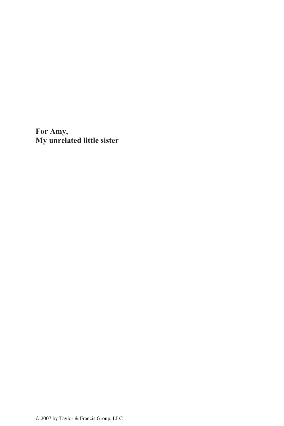**For Amy, My unrelated little sister**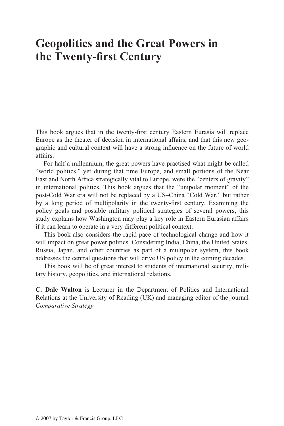### **Geopolitics and the Great Powers in the Twenty-first Century**

This book argues that in the twenty-first century Eastern Eurasia will replace Europe as the theater of decision in international affairs, and that this new geographic and cultural context will have a strong influence on the future of world affairs.

For half a millennium, the great powers have practised what might be called "world politics," yet during that time Europe, and small portions of the Near East and North Africa strategically vital to Europe, were the "centers of gravity" in international politics. This book argues that the "unipolar moment" of the post-Cold War era will not be replaced by a US–China "Cold War," but rather by a long period of multipolarity in the twenty-first century. Examining the policy goals and possible military–political strategies of several powers, this study explains how Washington may play a key role in Eastern Eurasian affairs if it can learn to operate in a very different political context.

This book also considers the rapid pace of technological change and how it will impact on great power politics. Considering India, China, the United States, Russia, Japan, and other countries as part of a multipolar system, this book addresses the central questions that will drive US policy in the coming decades.

This book will be of great interest to students of international security, military history, geopolitics, and international relations.

**C. Dale Walton** is Lecturer in the Department of Politics and International Relations at the University of Reading (UK) and managing editor of the journal *Comparative Strategy.*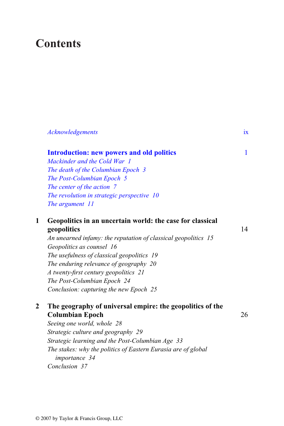# **Contents**

| <b>Introduction: new powers and old politics</b>               |  |
|----------------------------------------------------------------|--|
| Mackinder and the Cold War 1                                   |  |
| The death of the Columbian Epoch 3                             |  |
| The Post-Columbian Epoch 5                                     |  |
| The center of the action 7                                     |  |
| The revolution in strategic perspective 10                     |  |
| The argument 11                                                |  |
| Geopolitics in an uncertain world: the case for classical      |  |
| geopolitics                                                    |  |
| An unearned infamy: the reputation of classical geopolitics 15 |  |
| Geopolitics as counsel 16                                      |  |
| The usefulness of classical geopolitics 19                     |  |
| The enduring relevance of geography 20                         |  |
| A twenty-first century geopolitics 21                          |  |
| The Post-Columbian Epoch 24                                    |  |
| Conclusion: capturing the new Epoch 25                         |  |
| The geography of universal empire: the geopolitics of the      |  |
| <b>Columbian Epoch</b>                                         |  |
| Seeing one world, whole 28                                     |  |
| Strategic culture and geography 29                             |  |
| Strategic learning and the Post-Columbian Age 33               |  |
| The stakes: why the politics of Eastern Eurasia are of global  |  |
| Conclusion 37                                                  |  |
| importance 34                                                  |  |

*Acknowledgements* ix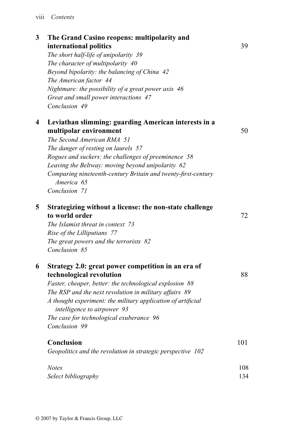| 3 | The Grand Casino reopens: multipolarity and<br>international politics                       |     |
|---|---------------------------------------------------------------------------------------------|-----|
|   | The short half-life of unipolarity 39                                                       | 39  |
|   | The character of multipolarity 40                                                           |     |
|   | Beyond bipolarity: the balancing of China 42                                                |     |
|   | The American factor 44                                                                      |     |
|   | Nightmare: the possibility of a great power axis 46                                         |     |
|   | Great and small power interactions 47                                                       |     |
|   | Conclusion 49                                                                               |     |
| 4 | Leviathan slimming: guarding American interests in a                                        |     |
|   | multipolar environment                                                                      | 50  |
|   | The Second American RMA 51                                                                  |     |
|   | The danger of resting on laurels 57                                                         |     |
|   | Rogues and suckers: the challenges of preeminence 58                                        |     |
|   | Leaving the Beltway: moving beyond unipolarity 62                                           |     |
|   | Comparing nineteenth-century Britain and twenty-first-century<br>America 65                 |     |
|   | Conclusion 71                                                                               |     |
| 5 | Strategizing without a license: the non-state challenge                                     |     |
|   | to world order                                                                              | 72  |
|   | The Islamist threat in context 73                                                           |     |
|   | Rise of the Lilliputians 77                                                                 |     |
|   | The great powers and the terrorists 82                                                      |     |
|   | Conclusion 85                                                                               |     |
| 6 | Strategy 2.0: great power competition in an era of                                          |     |
|   | technological revolution                                                                    | 88  |
|   | Faster, cheaper, better: the technological explosion 88                                     |     |
|   | The RSP and the next revolution in military affairs 89                                      |     |
|   | A thought experiment: the military application of artificial<br>intelligence to airpower 93 |     |
|   | The case for technological exuberance 96                                                    |     |
|   | Conclusion 99                                                                               |     |
|   | Conclusion                                                                                  | 101 |
|   | Geopolitics and the revolution in strategic perspective 102                                 |     |
|   | <b>Notes</b>                                                                                | 108 |
|   | Select bibliography                                                                         | 134 |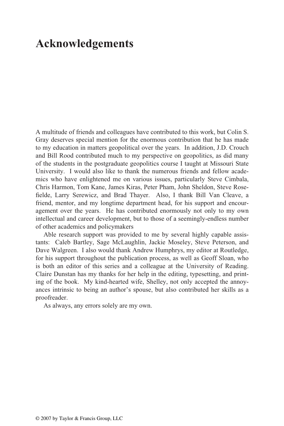### **Acknowledgements**

A multitude of friends and colleagues have contributed to this work, but Colin S. Gray deserves special mention for the enormous contribution that he has made to my education in matters geopolitical over the years. In addition, J.D. Crouch and Bill Rood contributed much to my perspective on geopolitics, as did many of the students in the postgraduate geopolitics course I taught at Missouri State University. I would also like to thank the numerous friends and fellow academics who have enlightened me on various issues, particularly Steve Cimbala, Chris Harmon, Tom Kane, James Kiras, Peter Pham, John Sheldon, Steve Rosefielde, Larry Serewicz, and Brad Thayer. Also, I thank Bill Van Cleave, a friend, mentor, and my longtime department head, for his support and encouragement over the years. He has contributed enormously not only to my own intellectual and career development, but to those of a seemingly-endless number of other academics and policymakers

Able research support was provided to me by several highly capable assistants: Caleb Bartley, Sage McLaughlin, Jackie Moseley, Steve Peterson, and Dave Walgreen. I also would thank Andrew Humphrys, my editor at Routledge, for his support throughout the publication process, as well as Geoff Sloan, who is both an editor of this series and a colleague at the University of Reading. Claire Dunstan has my thanks for her help in the editing, typesetting, and printing of the book. My kind-hearted wife, Shelley, not only accepted the annoyances intrinsic to being an author's spouse, but also contributed her skills as a proofreader.

As always, any errors solely are my own.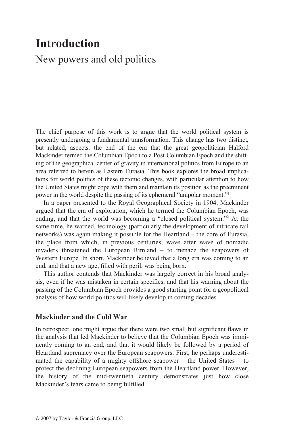# **Introduction**

### New powers and old politics

The chief purpose of this work is to argue that the world political system is presently undergoing a fundamental transformation. This change has two distinct, but related, aspects: the end of the era that the great geopolitician Halford Mackinder termed the Columbian Epoch to a Post-Columbian Epoch and the shifting of the geographical center of gravity in international politics from Europe to an area referred to herein as Eastern Eurasia. This book explores the broad implications for world politics of these tectonic changes, with particular attention to how the United States might cope with them and maintain its position as the preeminent power in the world despite the passing of its ephemeral "unipolar moment."1

In a paper presented to the Royal Geographical Society in 1904, Mackinder argued that the era of exploration, which he termed the Columbian Epoch, was ending, and that the world was becoming a "closed political system."2 At the same time, he warned, technology (particularly the development of intricate rail networks) was again making it possible for the Heartland – the core of Eurasia, the place from which, in previous centuries, wave after wave of nomadic invaders threatened the European Rimland – to menace the seapowers of Western Europe. In short, Mackinder believed that a long era was coming to an end, and that a new age, filled with peril, was being born.

This author contends that Mackinder was largely correct in his broad analysis, even if he was mistaken in certain specifics, and that his warning about the passing of the Columbian Epoch provides a good starting point for a geopolitical analysis of how world politics will likely develop in coming decades.

#### **Mackinder and the Cold War**

In retrospect, one might argue that there were two small but significant flaws in the analysis that led Mackinder to believe that the Columbian Epoch was imminently coming to an end, and that it would likely be followed by a period of Heartland supremacy over the European seapowers. First, he perhaps underestimated the capability of a mighty offshore seapower – the United States – to protect the declining European seapowers from the Heartland power. However, the history of the mid-twentieth century demonstrates just how close Mackinder's fears came to being fulfilled.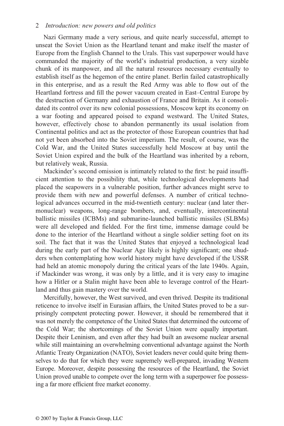#### 2 *Introduction: new powers and old politics*

Nazi Germany made a very serious, and quite nearly successful, attempt to unseat the Soviet Union as the Heartland tenant and make itself the master of Europe from the English Channel to the Urals. This vast superpower would have commanded the majority of the world's industrial production, a very sizable chunk of its manpower, and all the natural resources necessary eventually to establish itself as the hegemon of the entire planet. Berlin failed catastrophically in this enterprise, and as a result the Red Army was able to flow out of the Heartland fortress and fill the power vacuum created in East–Central Europe by the destruction of Germany and exhaustion of France and Britain. As it consolidated its control over its new colonial possessions, Moscow kept its economy on a war footing and appeared poised to expand westward. The United States, however, effectively chose to abandon permanently its usual isolation from Continental politics and act as the protector of those European countries that had not yet been absorbed into the Soviet imperium. The result, of course, was the Cold War, and the United States successfully held Moscow at bay until the Soviet Union expired and the bulk of the Heartland was inherited by a reborn, but relatively weak, Russia.

Mackinder's second omission is intimately related to the first: he paid insufficient attention to the possibility that, while technological developments had placed the seapowers in a vulnerable position, further advances might serve to provide them with new and powerful defenses. A number of critical technological advances occurred in the mid-twentieth century: nuclear (and later thermonuclear) weapons, long-range bombers, and, eventually, intercontinental ballistic missiles (ICBMs) and submarine-launched ballistic missiles (SLBMs) were all developed and fielded. For the first time, immense damage could be done to the interior of the Heartland without a single soldier setting foot on its soil. The fact that it was the United States that enjoyed a technological lead during the early part of the Nuclear Age likely is highly significant; one shudders when contemplating how world history might have developed if the USSR had held an atomic monopoly during the critical years of the late 1940s. Again, if Mackinder was wrong, it was only by a little, and it is very easy to imagine how a Hitler or a Stalin might have been able to leverage control of the Heartland and thus gain mastery over the world.

Mercifully, however, the West survived, and even thrived. Despite its traditional reticence to involve itself in Eurasian affairs, the United States proved to be a surprisingly competent protecting power. However, it should be remembered that it was not merely the competence of the United States that determined the outcome of the Cold War; the shortcomings of the Soviet Union were equally important. Despite their Leninism, and even after they had built an awesome nuclear arsenal while still maintaining an overwhelming conventional advantage against the North Atlantic Treaty Organization (NATO), Soviet leaders never could quite bring themselves to do that for which they were supremely well-prepared, invading Western Europe. Moreover, despite possessing the resources of the Heartland, the Soviet Union proved unable to compete over the long term with a superpower foe possessing a far more efficient free market economy.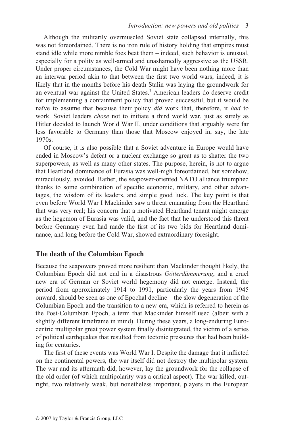Although the militarily overmuscled Soviet state collapsed internally, this was not foreordained. There is no iron rule of history holding that empires must stand idle while more nimble foes beat them – indeed, such behavior is unusual, especially for a polity as well-armed and unashamedly aggressive as the USSR. Under proper circumstances, the Cold War might have been nothing more than an interwar period akin to that between the first two world wars; indeed, it is likely that in the months before his death Stalin was laying the groundwork for an eventual war against the United States.3 American leaders do deserve credit for implementing a containment policy that proved successful, but it would be naïve to assume that because their policy *did* work that, therefore, it *had* to work. Soviet leaders *chose* not to initiate a third world war, just as surely as Hitler decided to launch World War II, under conditions that arguably were far less favorable to Germany than those that Moscow enjoyed in, say, the late 1970s.

Of course, it is also possible that a Soviet adventure in Europe would have ended in Moscow's defeat or a nuclear exchange so great as to shatter the two superpowers, as well as many other states. The purpose, herein, is not to argue that Heartland dominance of Eurasia was well-nigh foreordained, but somehow, miraculously, avoided. Rather, the seapower-oriented NATO alliance triumphed thanks to some combination of specific economic, military, and other advantages, the wisdom of its leaders, and simple good luck. The key point is that even before World War I Mackinder saw a threat emanating from the Heartland that was very real; his concern that a motivated Heartland tenant might emerge as the hegemon of Eurasia was valid, and the fact that he understood this threat before Germany even had made the first of its two bids for Heartland dominance, and long before the Cold War, showed extraordinary foresight.

#### **The death of the Columbian Epoch**

Because the seapowers proved more resilient than Mackinder thought likely, the Columbian Epoch did not end in a disastrous *Götterdämmerung*, and a cruel new era of German or Soviet world hegemony did not emerge. Instead, the period from approximately 1914 to 1991, particularly the years from 1945 onward, should be seen as one of Epochal decline – the slow degeneration of the Columbian Epoch and the transition to a new era, which is referred to herein as the Post-Columbian Epoch, a term that Mackinder himself used (albeit with a slightly different timeframe in mind). During these years, a long-enduring Eurocentric multipolar great power system finally disintegrated, the victim of a series of political earthquakes that resulted from tectonic pressures that had been building for centuries.

The first of these events was World War I. Despite the damage that it inflicted on the continental powers, the war itself did not destroy the multipolar system. The war and its aftermath did, however, lay the groundwork for the collapse of the old order (of which multipolarity was a critical aspect). The war killed, outright, two relatively weak, but nonetheless important, players in the European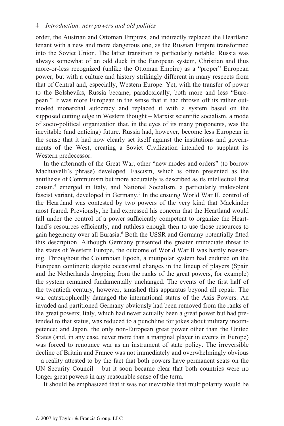order, the Austrian and Ottoman Empires, and indirectly replaced the Heartland tenant with a new and more dangerous one, as the Russian Empire transformed into the Soviet Union. The latter transition is particularly notable. Russia was always somewhat of an odd duck in the European system, Christian and thus more-or-less recognized (unlike the Ottoman Empire) as a "proper" European power, but with a culture and history strikingly different in many respects from that of Central and, especially, Western Europe. Yet, with the transfer of power to the Bolsheviks, Russia became, paradoxically, both more and less "European." It was more European in the sense that it had thrown off its rather outmoded monarchal autocracy and replaced it with a system based on the supposed cutting edge in Western thought – Marxist scientific socialism, a mode of socio-political organization that, in the eyes of its many proponents, was the inevitable (and enticing) future. Russia had, however, become less European in the sense that it had now clearly set itself against the institutions and governments of the West, creating a Soviet Civilization intended to supplant its Western predecessor.

In the aftermath of the Great War, other "new modes and orders" (to borrow Machiavelli's phrase) developed. Fascism, which is often presented as the antithesis of Communism but more accurately is described as its intellectual first cousin,4 emerged in Italy, and National Socialism, a particularly malevolent fascist variant, developed in Germany.<sup>5</sup> In the ensuing World War II, control of the Heartland was contested by two powers of the very kind that Mackinder most feared. Previously, he had expressed his concern that the Heartland would fall under the control of a power sufficiently competent to organize the Heartland's resources efficiently, and ruthless enough then to use those resources to gain hegemony over all Eurasia.6 Both the USSR and Germany potentially fitted this description. Although Germany presented the greater immediate threat to the states of Western Europe, the outcome of World War II was hardly reassuring. Throughout the Columbian Epoch, a mutipolar system had endured on the European continent; despite occasional changes in the lineup of players (Spain and the Netherlands dropping from the ranks of the great powers, for example) the system remained fundamentally unchanged. The events of the first half of the twentieth century, however, smashed this apparatus beyond all repair. The war catastrophically damaged the international status of the Axis Powers. An invaded and partitioned Germany obviously had been removed from the ranks of the great powers; Italy, which had never actually been a great power but had pretended to that status, was reduced to a punchline for jokes about military incompetence; and Japan, the only non-European great power other than the United States (and, in any case, never more than a marginal player in events in Europe) was forced to renounce war as an instrument of state policy. The irreversible decline of Britain and France was not immediately and overwhelmingly obvious – a reality attested to by the fact that both powers have permanent seats on the UN Security Council – but it soon became clear that both countries were no longer great powers in any reasonable sense of the term.

It should be emphasized that it was not inevitable that multipolarity would be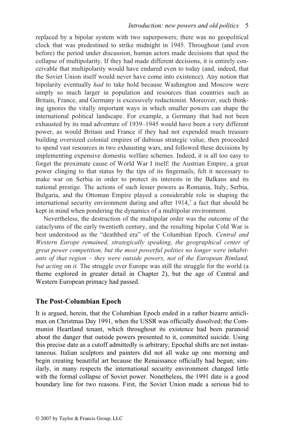replaced by a bipolar system with two superpowers; there was no geopolitical clock that was predestined to strike midnight in 1945. Throughout (and even before) the period under discussion, human actors made decisions that sped the collapse of multipolarity. If they had made different decisions, it is entirely conceivable that multipolarity would have endured even to today (and, indeed, that the Soviet Union itself would never have come into existence). Any notion that bipolarity eventually *had* to take hold because Washington and Moscow were simply so much larger in population and resources than countries such as Britain, France, and Germany is excessively reductionist. Moreover, such thinking ignores the vitally important ways in which smaller powers can shape the international political landscape. For example, a Germany that had not been exhausted by its mad adventure of 1939–1945 would have been a very different power, as would Britain and France if they had not expended much treasure building oversized colonial empires of dubious strategic value, then proceeded to spend vast resources in two exhausting wars, and followed these decisions by implementing expensive domestic welfare schemes. Indeed, it is all too easy to forget the proximate cause of World War I itself: the Austrian Empire, a great power clinging to that status by the tips of its fingernails, felt it necessary to make war on Serbia in order to protect its interests in the Balkans and its national prestige. The actions of such lesser powers as Romania, Italy, Serbia, Bulgaria, and the Ottoman Empire played a considerable role in shaping the international security environment during and after  $1914<sup>7</sup>$  a fact that should be kept in mind when pondering the dynamics of a multipolar environment.

Nevertheless, the destruction of the multipolar order was the outcome of the cataclysms of the early twentieth century, and the resulting bipolar Cold War is best understood as the "deathbed era" of the Columbian Epoch. *Central and Western Europe remained, strategically speaking, the geographical center of great power competition, but the most powerful polities no longer were inhabitants of that region – they were outside powers, not* of *the European Rimland, but acting* on *it.* The struggle over Europe was still the struggle for the world (a theme explored in greater detail in Chapter 2), but the age of Central and Western European primacy had passed.

#### **The Post-Columbian Epoch**

It is argued, herein, that the Columbian Epoch ended in a rather bizarre anticlimax on Christmas Day 1991, when the USSR was officially dissolved; the Communist Heartland tenant, which throughout its existence had been paranoid about the danger that outside powers presented to it, committed suicide. Using this precise date as a cutoff admittedly is arbitrary; Epochal shifts are not instantaneous. Italian sculptors and painters did not all wake up one morning and begin creating beautiful art because the Renaissance officially had begun; similarly, in many respects the international security environment changed little with the formal collapse of Soviet power. Nonetheless, the 1991 date is a good boundary line for two reasons. First, the Soviet Union made a serious bid to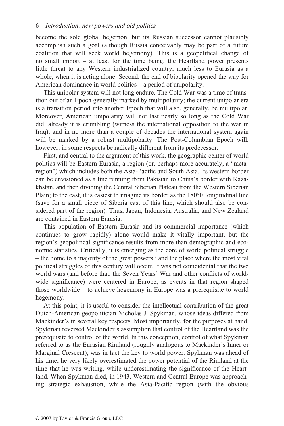become the sole global hegemon, but its Russian successor cannot plausibly accomplish such a goal (although Russia conceivably may be part of a future coalition that will seek world hegemony). This is a geopolitical change of no small import – at least for the time being, the Heartland power presents little threat to any Western industrialized country, much less to Eurasia as a whole, when it is acting alone. Second, the end of bipolarity opened the way for American dominance in world politics – a period of unipolarity.

This unipolar system will not long endure. The Cold War was a time of transition out of an Epoch generally marked by multipolarity; the current unipolar era is a transition period into another Epoch that will also, generally, be multipolar. Moreover, American unipolarity will not last nearly so long as the Cold War did; already it is crumbling (witness the international opposition to the war in Iraq), and in no more than a couple of decades the international system again will be marked by a robust multipolarity. The Post-Columbian Epoch will, however, in some respects be radically different from its predecessor.

First, and central to the argument of this work, the geographic center of world politics will be Eastern Eurasia, a region (or, perhaps more accurately, a "metaregion") which includes both the Asia-Pacific and South Asia. Its western border can be envisioned as a line running from Pakistan to China's border with Kazakhstan, and then dividing the Central Siberian Plateau from the Western Siberian Plain; to the east, it is easiest to imagine its border as the 180°E longitudinal line (save for a small piece of Siberia east of this line, which should also be considered part of the region). Thus, Japan, Indonesia, Australia, and New Zealand are contained in Eastern Eurasia.

This population of Eastern Eurasia and its commercial importance (which continues to grow rapidly) alone would make it vitally important, but the region's geopolitical significance results from more than demographic and economic statistics. Critically, it is emerging as the core of world political struggle  $-$  the home to a majority of the great powers,<sup>8</sup> and the place where the most vital political struggles of this century will occur. It was not coincidental that the two world wars (and before that, the Seven Years' War and other conflicts of worldwide significance) were centered in Europe, as events in that region shaped those worldwide – to achieve hegemony in Europe was a prerequisite to world hegemony.

At this point, it is useful to consider the intellectual contribution of the great Dutch-American geopolitician Nicholas J. Spykman, whose ideas differed from Mackinder's in several key respects. Most importantly, for the purposes at hand, Spykman reversed Mackinder's assumption that control of the Heartland was the prerequisite to control of the world. In this conception, control of what Spykman referred to as the Eurasian Rimland (roughly analogous to Mackinder's Inner or Marginal Crescent), was in fact the key to world power. Spykman was ahead of his time; he very likely overestimated the power potential of the Rimland at the time that he was writing, while underestimating the significance of the Heartland. When Spykman died, in 1943, Western and Central Europe was approaching strategic exhaustion, while the Asia-Pacific region (with the obvious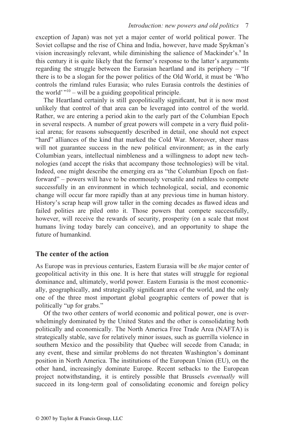exception of Japan) was not yet a major center of world political power. The Soviet collapse and the rise of China and India, however, have made Spykman's vision increasingly relevant, while diminishing the salience of Mackinder's.<sup>9</sup> In this century it is quite likely that the former's response to the latter's arguments regarding the struggle between the Eurasian heartland and its periphery – "If there is to be a slogan for the power politics of the Old World, it must be 'Who controls the rimland rules Eurasia; who rules Eurasia controls the destinies of the world' $"10 -$  will be a guiding geopolitical principle.

The Heartland certainly is still geopolitically significant, but it is now most unlikely that control of that area can be leveraged into control of the world. Rather, we are entering a period akin to the early part of the Columbian Epoch in several respects. A number of great powers will compete in a very fluid political arena; for reasons subsequently described in detail, one should not expect "hard" alliances of the kind that marked the Cold War. Moreover, sheer mass will not guarantee success in the new political environment; as in the early Columbian years, intellectual nimbleness and a willingness to adopt new technologies (and accept the risks that accompany those technologies) will be vital. Indeed, one might describe the emerging era as "the Columbian Epoch on fastforward" – powers will have to be enormously versatile and ruthless to compete successfully in an environment in which technological, social, and economic change will occur far more rapidly than at any previous time in human history. History's scrap heap will grow taller in the coming decades as flawed ideas and failed polities are piled onto it. Those powers that compete successfully, however, will receive the rewards of security, prosperity (on a scale that most humans living today barely can conceive), and an opportunity to shape the future of humankind.

#### **The center of the action**

As Europe was in previous centuries, Eastern Eurasia will be *the* major center of geopolitical activity in this one. It is here that states will struggle for regional dominance and, ultimately, world power. Eastern Eurasia is the most economically, geographically, and strategically significant area of the world, and the only one of the three most important global geographic centers of power that is politically "up for grabs."

Of the two other centers of world economic and political power, one is overwhelmingly dominated by the United States and the other is consolidating both politically and economically. The North America Free Trade Area (NAFTA) is strategically stable, save for relatively minor issues, such as guerrilla violence in southern Mexico and the possibility that Quebec will secede from Canada; in any event, these and similar problems do not threaten Washington's dominant position in North America. The institutions of the European Union (EU), on the other hand, increasingly dominate Europe. Recent setbacks to the European project notwithstanding, it is entirely possible that Brussels *eventually* will succeed in its long-term goal of consolidating economic and foreign policy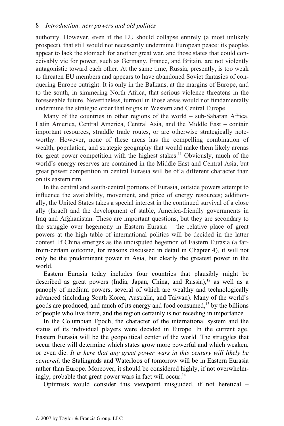authority. However, even if the EU should collapse entirely (a most unlikely prospect), that still would not necessarily undermine European peace: its peoples appear to lack the stomach for another great war, and those states that could conceivably vie for power, such as Germany, France, and Britain, are not violently antagonistic toward each other. At the same time, Russia, presently, is too weak to threaten EU members and appears to have abandoned Soviet fantasies of conquering Europe outright. It is only in the Balkans, at the margins of Europe, and to the south, in simmering North Africa, that serious violence threatens in the foreseeable future. Nevertheless, turmoil in those areas would not fundamentally undermine the strategic order that reigns in Western and Central Europe.

Many of the countries in other regions of the world – sub-Saharan Africa, Latin America, Central America, Central Asia, and the Middle East – contain important resources, straddle trade routes, or are otherwise strategically noteworthy. However, none of these areas has the compelling combination of wealth, population, and strategic geography that would make them likely arenas for great power competition with the highest stakes.<sup>11</sup> Obviously, much of the world's energy reserves are contained in the Middle East and Central Asia, but great power competition in central Eurasia will be of a different character than on its eastern rim.

In the central and south-central portions of Eurasia, outside powers attempt to influence the availability, movement, and price of energy resources; additionally, the United States takes a special interest in the continued survival of a close ally (Israel) and the development of stable, America-friendly governments in Iraq and Afghanistan. These are important questions, but they are secondary to the struggle over hegemony in Eastern Eurasia – the relative place of great powers at the high table of international politics will be decided in the latter contest. If China emerges as the undisputed hegemon of Eastern Eurasia (a farfrom-certain outcome, for reasons discussed in detail in Chapter 4), it will not only be the predominant power in Asia, but clearly the greatest power in the world.

Eastern Eurasia today includes four countries that plausibly might be described as great powers (India, Japan, China, and Russia), $12$  as well as a panoply of medium powers, several of which are wealthy and technologically advanced (including South Korea, Australia, and Taiwan). Many of the world's goods are produced, and much of its energy and food consumed, $^{13}$  by the billions of people who live there, and the region certainly is not receding in importance.

In the Columbian Epoch, the character of the international system and the status of its individual players were decided in Europe. In the current age, Eastern Eurasia will be the geopolitical center of the world. The struggles that occur there will determine which states grow more powerful and which weaken, or even die. *It is here that any great power wars in this century will likely be centered*; the Stalingrads and Waterloos of tomorrow will be in Eastern Eurasia rather than Europe. Moreover, it should be considered highly, if not overwhelmingly, probable that great power wars in fact will occur.<sup>14</sup>

Optimists would consider this viewpoint misguided, if not heretical –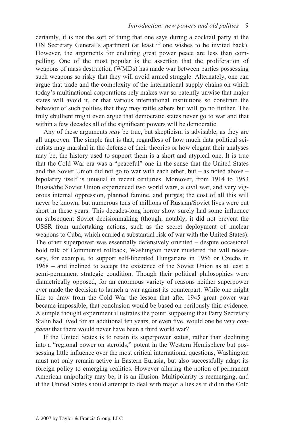certainly, it is not the sort of thing that one says during a cocktail party at the UN Secretary General's apartment (at least if one wishes to be invited back). However, the arguments for enduring great power peace are less than compelling. One of the most popular is the assertion that the proliferation of weapons of mass destruction (WMDs) has made war between parties possessing such weapons so risky that they will avoid armed struggle. Alternately, one can argue that trade and the complexity of the international supply chains on which today's multinational corporations rely makes war so patently unwise that major states will avoid it, or that various international institutions so constrain the behavior of such polities that they may rattle sabers but will go no further. The truly ebullient might even argue that democratic states never go to war and that within a few decades all of the significant powers will be democratic.

Any of these arguments *may* be true, but skepticism is advisable, as they are all unproven. The simple fact is that, regardless of how much data political scientists may marshal in the defense of their theories or how elegant their analyses may be, the history used to support them is a short and atypical one. It is true that the Cold War era was a "peaceful" one in the sense that the United States and the Soviet Union did not go to war with each other, but – as noted above – bipolarity itself is unusual in recent centuries. Moreover, from 1914 to 1953 Russia/the Soviet Union experienced two world wars, a civil war, and very vigorous internal oppression, planned famine, and purges; the cost of all this will never be known, but numerous tens of millions of Russian/Soviet lives were cut short in these years. This decades-long horror show surely had some influence on subsequent Soviet decisionmaking (though, notably, it did not prevent the USSR from undertaking actions, such as the secret deployment of nuclear weapons to Cuba, which carried a substantial risk of war with the United States). The other superpower was essentially defensively oriented – despite occasional bold talk of Communist rollback, Washington never mustered the will necessary, for example, to support self-liberated Hungarians in 1956 or Czechs in 1968 – and inclined to accept the existence of the Soviet Union as at least a semi-permanent strategic condition. Though their political philosophies were diametrically opposed, for an enormous variety of reasons neither superpower ever made the decision to launch a war against its counterpart. While one might like to draw from the Cold War the lesson that after 1945 great power war became impossible, that conclusion would be based on perilously thin evidence. A simple thought experiment illustrates the point: supposing that Party Secretary Stalin had lived for an additional ten years, or even five, would one be *very confident* that there would never have been a third world war?

If the United States is to retain its superpower status, rather than declining into a "regional power on steroids," potent in the Western Hemisphere but possessing little influence over the most critical international questions, Washington must not only remain active in Eastern Eurasia, but also successfully adapt its foreign policy to emerging realities. However alluring the notion of permanent American unipolarity may be, it is an illusion. Multipolarity is reemerging, and if the United States should attempt to deal with major allies as it did in the Cold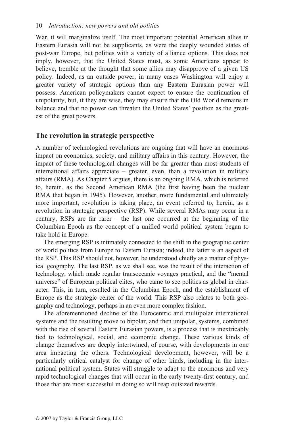War, it will marginalize itself. The most important potential American allies in Eastern Eurasia will not be supplicants, as were the deeply wounded states of post-war Europe, but polities with a variety of alliance options. This does not imply, however, that the United States must, as some Americans appear to believe, tremble at the thought that some allies may disapprove of a given US policy. Indeed, as an outside power, in many cases Washington will enjoy a greater variety of strategic options than any Eastern Eurasian power will possess. American policymakers cannot expect to ensure the continuation of unipolarity, but, if they are wise, they may ensure that the Old World remains in balance and that no power can threaten the United States' position as the greatest of the great powers.

#### **The revolution in strategic perspective**

A number of technological revolutions are ongoing that will have an enormous impact on economics, society, and military affairs in this century. However, the impact of these technological changes will be far greater than most students of international affairs appreciate – greater, even, than a revolution in military affairs (RMA). As Chapter 5 argues, there is an ongoing RMA, which is referred to, herein, as the Second American RMA (the first having been the nuclear RMA that began in 1945). However, another, more fundamental and ultimately more important, revolution is taking place, an event referred to, herein, as a revolution in strategic perspective (RSP). While several RMAs may occur in a century, RSPs are far rarer – the last one occurred at the beginning of the Columbian Epoch as the concept of a unified world political system began to take hold in Europe.

The emerging RSP is intimately connected to the shift in the geographic center of world politics from Europe to Eastern Eurasia; indeed, the latter is an aspect of the RSP. This RSP should not, however, be understood chiefly as a matter of physical geography. The last RSP, as we shall see, was the result of the interaction of technology, which made regular transoceanic voyages practical, and the "mental universe" of European political elites, who came to see politics as global in character. This, in turn, resulted in the Columbian Epoch, and the establishment of Europe as the strategic center of the world. This RSP also relates to both geography and technology, perhaps in an even more complex fashion.

The aforementioned decline of the Eurocentric and multipolar international systems and the resulting move to bipolar, and then unipolar, systems, combined with the rise of several Eastern Eurasian powers, is a process that is inextricably tied to technological, social, and economic change. These various kinds of change themselves are deeply intertwined, of course, with developments in one area impacting the others. Technological development, however, will be a particularly critical catalyst for change of other kinds, including in the international political system. States will struggle to adapt to the enormous and very rapid technological changes that will occur in the early twenty-first century, and those that are most successful in doing so will reap outsized rewards.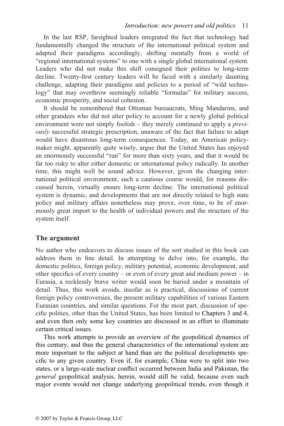In the last RSP, farsighted leaders integrated the fact that technology had fundamentally changed the structure of the international political system and adapted their paradigms accordingly, shifting mentally from a world of "regional international systems" to one with a single global international system. Leaders who did not make this shift consigned their polities to long-term decline. Twenty-first century leaders will be faced with a similarly daunting challenge, adapting their paradigms and policies to a period of "wild technology" that may overthrow seemingly reliable "formulas" for military success, economic prosperity, and social cohesion.

It should be remembered that Ottoman bureaucrats, Ming Mandarins, and other grandees who did not alter policy to account for a newly global political environment were not simply foolish – they merely continued to apply a *previously* successful strategic prescription, unaware of the fact that failure to adapt would have disastrous long-term consequences. Today, an American policymaker might, apparently quite wisely, argue that the United States has enjoyed an enormously successful "run" for more than sixty years, and that it would be far too risky to alter either domestic or international policy radically. In another time, this might well be sound advice. However, given the changing international political environment, such a cautious course would, for reasons discussed herein, virtually ensure long-term decline. The international political system is dynamic, and developments that are not directly related to high state policy and military affairs nonetheless may prove, over time, to be of enormously great import to the health of individual powers and the structure of the system itself.

#### **The argument**

No author who endeavors to discuss issues of the sort studied in this book can address them in fine detail. In attempting to delve into, for example, the domestic politics, foreign policy, military potential, economic development, and other specifics of every country – or even of every great and medium power – in Eurasia, a recklessly brave writer would soon be buried under a mountain of detail. Thus, this work avoids, insofar as is practical, discussions of current foreign policy controversies, the present military capabilities of various Eastern Eurasian countries, and similar questions. For the most part, discussion of specific polities, other than the United States, has been limited to Chapters 3 and 4, and even then only some key countries are discussed in an effort to illuminate certain critical issues.

This work attempts to provide an overview of the geopolitical dynamics of this century, and thus the general characteristics of the international system are more important to the subject at hand than are the political developments specific to any given country. Even if, for example, China were to split into two states, or a large-scale nuclear conflict occurred between India and Pakistan, the *general* geopolitical analysis, herein, would still be valid, because even such major events would not change underlying geopolitical trends, even though it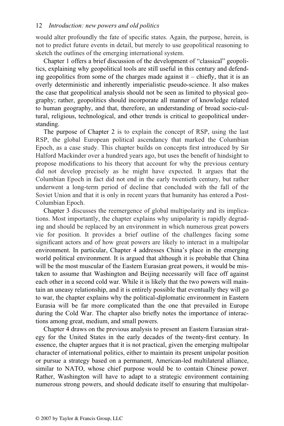would alter profoundly the fate of specific states. Again, the purpose, herein, is not to predict future events in detail, but merely to use geopolitical reasoning to sketch the outlines of the emerging international system.

Chapter 1 offers a brief discussion of the development of "classical" geopolitics, explaining why geopolitical tools are still useful in this century and defending geopolitics from some of the charges made against it – chiefly, that it is an overly deterministic and inherently imperialistic pseudo-science. It also makes the case that geopolitical analysis should not be seen as limited to physical geography; rather, geopolitics should incorporate all manner of knowledge related to human geography, and that, therefore, an understanding of broad socio-cultural, religious, technological, and other trends is critical to geopolitical understanding.

The purpose of Chapter 2 is to explain the concept of RSP, using the last RSP, the global European political ascendancy that marked the Columbian Epoch, as a case study. This chapter builds on concepts first introduced by Sir Halford Mackinder over a hundred years ago, but uses the benefit of hindsight to propose modifications to his theory that account for why the previous century did not develop precisely as he might have expected. It argues that the Columbian Epoch in fact did not end in the early twentieth century, but rather underwent a long-term period of decline that concluded with the fall of the Soviet Union and that it is only in recent years that humanity has entered a Post-Columbian Epoch.

Chapter 3 discusses the reemergence of global multipolarity and its implications. Most importantly, the chapter explains why unipolarity is rapidly degrading and should be replaced by an environment in which numerous great powers vie for position. It provides a brief outline of the challenges facing some significant actors and of how great powers are likely to interact in a multipolar environment. In particular, Chapter 4 addresses China's place in the emerging world political environment. It is argued that although it is probable that China will be the most muscular of the Eastern Eurasian great powers, it would be mistaken to assume that Washington and Beijing necessarily will face off against each other in a second cold war. While it is likely that the two powers will maintain an uneasy relationship, and it is entirely possible that eventually they will go to war, the chapter explains why the political-diplomatic environment in Eastern Eurasia will be far more complicated than the one that prevailed in Europe during the Cold War. The chapter also briefly notes the importance of interactions among great, medium, and small powers.

Chapter 4 draws on the previous analysis to present an Eastern Eurasian strategy for the United States in the early decades of the twenty-first century. In essence, the chapter argues that it is not practical, given the emerging multipolar character of international politics, either to maintain its present unipolar position or pursue a strategy based on a permanent, American-led multilateral alliance, similar to NATO, whose chief purpose would be to contain Chinese power. Rather, Washington will have to adapt to a strategic environment containing numerous strong powers, and should dedicate itself to ensuring that multipolar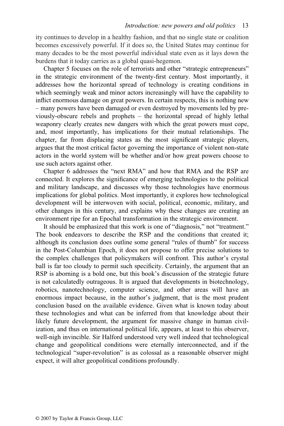ity continues to develop in a healthy fashion, and that no single state or coalition becomes excessively powerful. If it does so, the United States may continue for many decades to be the most powerful individual state even as it lays down the burdens that it today carries as a global quasi-hegemon.

Chapter 5 focuses on the role of terrorists and other "strategic entrepreneurs" in the strategic environment of the twenty-first century. Most importantly, it addresses how the horizontal spread of technology is creating conditions in which seemingly weak and minor actors increasingly will have the capability to inflict enormous damage on great powers. In certain respects, this is nothing new – many powers have been damaged or even destroyed by movements led by previously-obscure rebels and prophets – the horizontal spread of highly lethal weaponry clearly creates new dangers with which the great powers must cope, and, most importantly, has implications for their mutual relationships. The chapter, far from displacing states as the most significant strategic players, argues that the most critical factor governing the importance of violent non-state actors in the world system will be whether and/or how great powers choose to use such actors against other.

Chapter 6 addresses the "next RMA" and how that RMA and the RSP are connected. It explores the significance of emerging technologies to the political and military landscape, and discusses why those technologies have enormous implications for global politics. Most importantly, it explores how technological development will be interwoven with social, political, economic, military, and other changes in this century, and explains why these changes are creating an environment ripe for an Epochal transformation in the strategic environment.

It should be emphasized that this work is one of "diagnosis," not "treatment." The book endeavors to describe the RSP and the conditions that created it; although its conclusion does outline some general "rules of thumb" for success in the Post-Columbian Epoch, it does not propose to offer precise solutions to the complex challenges that policymakers will confront. This author's crystal ball is far too cloudy to permit such specificity. Certainly, the argument that an RSP is aborning is a bold one, but this book's discussion of the strategic future is not calculatedly outrageous. It is argued that developments in biotechnology, robotics, nanotechnology, computer science, and other areas will have an enormous impact because, in the author's judgment, that is the most prudent conclusion based on the available evidence. Given what is known today about these technologies and what can be inferred from that knowledge about their likely future development, the argument for massive change in human civilization, and thus on international political life, appears, at least to this observer, well-nigh invincible. Sir Halford understood very well indeed that technological change and geopolitical conditions were eternally interconnected, and if the technological "super-revolution" is as colossal as a reasonable observer might expect, it will alter geopolitical conditions profoundly.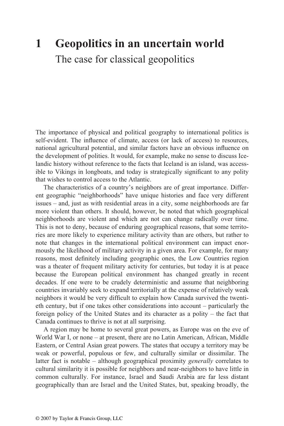# **1 Geopolitics in an uncertain world** The case for classical geopolitics

The importance of physical and political geography to international politics is self-evident. The influence of climate, access (or lack of access) to resources, national agricultural potential, and similar factors have an obvious influence on the development of polities. It would, for example, make no sense to discuss Icelandic history without reference to the facts that Iceland is an island, was accessible to Vikings in longboats, and today is strategically significant to any polity that wishes to control access to the Atlantic.

The characteristics of a country's neighbors are of great importance. Different geographic "neighborhoods" have unique histories and face very different issues – and, just as with residential areas in a city, some neighborhoods are far more violent than others. It should, however, be noted that which geographical neighborhoods are violent and which are not can change radically over time. This is not to deny, because of enduring geographical reasons, that some territories are more likely to experience military activity than are others, but rather to note that changes in the international political environment can impact enormously the likelihood of military activity in a given area. For example, for many reasons, most definitely including geographic ones, the Low Countries region was a theater of frequent military activity for centuries, but today it is at peace because the European political environment has changed greatly in recent decades. If one were to be crudely deterministic and assume that neighboring countries invariably seek to expand territorially at the expense of relatively weak neighbors it would be very difficult to explain how Canada survived the twentieth century, but if one takes other considerations into account – particularly the foreign policy of the United States and its character as a polity – the fact that Canada continues to thrive is not at all surprising.

A region may be home to several great powers, as Europe was on the eve of World War I, or none – at present, there are no Latin American, African, Middle Eastern, or Central Asian great powers. The states that occupy a territory may be weak or powerful, populous or few, and culturally similar or dissimilar. The latter fact is notable – although geographical proximity *generally* correlates to cultural similarity it is possible for neighbors and near-neighbors to have little in common culturally. For instance, Israel and Saudi Arabia are far less distant geographically than are Israel and the United States, but, speaking broadly, the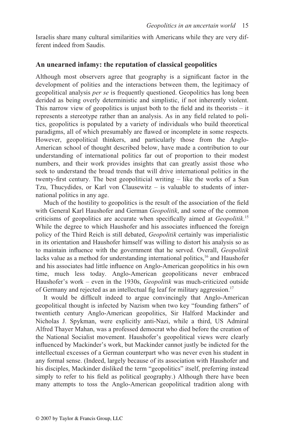Israelis share many cultural similarities with Americans while they are very different indeed from Saudis.

#### **An unearned infamy: the reputation of classical geopolitics**

Although most observers agree that geography is a significant factor in the development of polities and the interactions between them, the legitimacy of geopolitical analysis *per se* is frequently questioned. Geopolitics has long been derided as being overly deterministic and simplistic, if not inherently violent. This narrow view of geopolitics is unjust both to the field and its theorists  $-$  it represents a stereotype rather than an analysis. As in any field related to politics, geopolitics is populated by a variety of individuals who build theoretical paradigms, all of which presumably are flawed or incomplete in some respects. However, geopolitical thinkers, and particularly those from the Anglo-American school of thought described below, have made a contribution to our understanding of international politics far out of proportion to their modest numbers, and their work provides insights that can greatly assist those who seek to understand the broad trends that will drive international politics in the twenty-first century. The best geopoliticial writing – like the works of a Sun Tzu, Thucydides, or Karl von Clausewitz – is valuable to students of international politics in any age.

Much of the hostility to geopolitics is the result of the association of the field with General Karl Haushofer and German *Geopolitik*, and some of the common criticisms of geopolitics are accurate when specifically aimed at *Geopolitik*. 15 While the degree to which Haushofer and his associates influenced the foreign policy of the Third Reich is still debated, *Geopolitik* certainly was imperialistic in its orientation and Haushofer himself was willing to distort his analysis so as to maintain influence with the government that he served. Overall, *Geopolitik* lacks value as a method for understanding international politics,<sup>16</sup> and Haushofer and his associates had little influence on Anglo-American geopolitics in his own time, much less today. Anglo-American geopoliticans never embraced Haushofer's work – even in the 1930s, *Geopolitik* was much-criticized outside of Germany and rejected as an intellectual fig leaf for military aggression.<sup>17</sup>

It would be difficult indeed to argue convincingly that Anglo-American geopolitical thought is infected by Nazism when two key "founding fathers" of twentieth century Anglo-American geopolitics, Sir Halford Mackinder and Nicholas J. Spykman, were explicitly anti-Nazi, while a third, US Admiral Alfred Thayer Mahan, was a professed democrat who died before the creation of the National Socialist movement. Haushofer's geopolitical views were clearly influenced by Mackinder's work, but Mackinder cannot justly be indicted for the intellectual excesses of a German counterpart who was never even his student in any formal sense. (Indeed, largely because of its association with Haushofer and his disciples, Mackinder disliked the term "geopolitics" itself, preferring instead simply to refer to his field as political geography.) Although there have been many attempts to toss the Anglo-American geopolitical tradition along with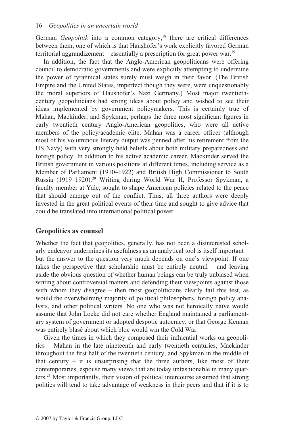German *Geopolitik* into a common category,<sup>18</sup> there are critical differences between them, one of which is that Haushofer's work explicitly favored German territorial aggrandizement – essentially a prescription for great power war.<sup>19</sup>

In addition, the fact that the Anglo-American geopoliticans were offering council to democratic governments and were explicitly attempting to undermine the power of tyrannical states surely must weigh in their favor. (The British Empire and the United States, imperfect though they were, were unquestionably the moral superiors of Haushofer's Nazi Germany.) Most major twentiethcentury geopoliticians had strong ideas about policy and wished to see their ideas implemented by government policymakers. This is certainly true of Mahan, Mackinder, and Spykman, perhaps the three most significant figures in early twentieth century Anglo-American geopolitics, who were all active members of the policy/academic elite. Mahan was a career officer (although most of his voluminous literary output was penned after his retirement from the US Navy) with very strongly held beliefs about both military preparedness and foreign policy. In addition to his active academic career, Mackinder served the British government in various positions at different times, including service as a Member of Parliament (1910–1922) and British High Commissioner to South Russia (1919–1920).<sup>20</sup> Writing during World War II, Professor Spykman, a faculty member at Yale, sought to shape American policies related to the peace that should emerge out of the conflict. Thus, all three authors were deeply invested in the great political events of their time and sought to give advice that could be translated into international political power.

#### **Geopolitics as counsel**

Whether the fact that geopolitics, generally, has not been a disinterested scholarly endeavor undermines its usefulness as an analytical tool is itself important – but the answer to the question very much depends on one's viewpoint. If one takes the perspective that scholarship must be entirely neutral – and leaving aside the obvious question of whether human beings can be truly unbiased when writing about controversial matters and defending their viewpoints against those with whom they disagree – then most geopoliticians clearly fail this test, as would the overwhelming majority of political philosophers, foreign policy analysts, and other political writers. No one who was not heroically naïve would assume that John Locke did not care whether England maintained a parliamentary system of government or adopted despotic autocracy, or that George Kennan was entirely blasé about which bloc would win the Cold War.

Given the times in which they composed their influential works on geopolitics – Mahan in the late nineteenth and early twentieth centuries, Mackinder throughout the first half of the twentieth century, and Spykman in the middle of that century  $-$  it is unsurprising that the three authors, like most of their contemporaries, espouse many views that are today unfashionable in many quarters.21 Most importantly, their vision of political intercourse assumed that strong polities will tend to take advantage of weakness in their peers and that if it is to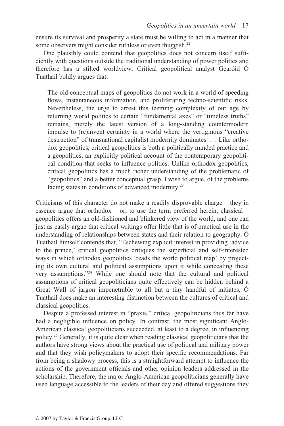ensure its survival and prosperity a state must be willing to act in a manner that some observers might consider ruthless or even thuggish.<sup>22</sup>

One plausibly could contend that geopolitics does not concern itself sufficiently with questions outside the traditional understanding of power politics and therefore has a stilted worldview. Critical geopolitical analyst Gearóid Ó Tuathail boldly argues that:

The old conceptual maps of geopolitics do not work in a world of speeding flows, instantaneous information, and proliferating techno-scientific risks. Nevertheless, the urge to arrest this teeming complexity of our age by returning world politics to certain "fundamental axes" or "timeless truths" remains, merely the latest version of a long-standing countermodern impulse to (re)invent certainty in a world where the vertiginous "creative destruction" of transnational capitalist modernity dominates. . . . Like orthodox geopolitics, critical geopolitics is both a politically minded practice and a geopolitics, an explicitly political account of the contemporary geopolitical condition that seeks to influence politics. Unlike orthodox geopolitics, critical geopolitics has a much richer understanding of the problematic of "geopolitics" and a better conceptual grasp, I wish to argue, of the problems facing states in conditions of advanced modernity.23

Criticisms of this character do not make a readily disprovable charge – they in essence argue that orthodox – or, to use the term preferred herein, classical – geopolitics offers an old-fashioned and blinkered view of the world, and one can just as easily argue that critical writings offer little that is of practical use in the understanding of relationships between states and their relation to geography. Ó Tuathail himself contends that, "Eschewing explicit interest in providing 'advice to the prince,' critical geopolitics critiques the superficial and self-interested ways in which orthodox geopolitics 'reads the world political map' by projecting its own cultural and political assumptions upon it while concealing these very assumptions."24 While one should note that the cultural and political assumptions of critical geopoliticians quite effectively can be hidden behind a Great Wall of jargon impenetrable to all but a tiny handful of initiates, Ó Tuathail does make an interesting distinction between the cultures of critical and classical geopolitics.

Despite a professed interest in "praxis," critical geopoliticians thus far have had a negligible influence on policy. In contrast, the most significant Anglo-American classical geopoliticians succeeded, at least to a degree, in influencing policy.25 Generally, it is quite clear when reading classical geopoliticians that the authors have strong views about the practical use of political and military power and that they wish policymakers to adopt their specific recommendations. Far from being a shadowy process, this is a straightforward attempt to influence the actions of the government officials and other opinion leaders addressed in the scholarship. Therefore, the major Anglo-American geopoliticians generally have used language accessible to the leaders of their day and offered suggestions they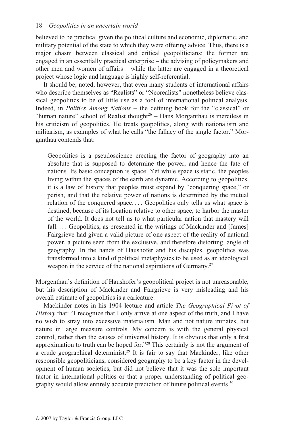believed to be practical given the political culture and economic, diplomatic, and military potential of the state to which they were offering advice. Thus, there is a major chasm between classical and critical geopoliticians: the former are engaged in an essentially practical enterprise – the advising of policymakers and other men and women of affairs – while the latter are engaged in a theoretical project whose logic and language is highly self-referential.

It should be, noted, however, that even many students of international affairs who describe themselves as "Realists" or "Neorealists" nonetheless believe classical geopolitics to be of little use as a tool of international political analysis. Indeed, in *Politics Among Nations* – the defining book for the "classical" or "human nature" school of Realist thought<sup>26</sup> – Hans Morganthau is merciless in his criticism of geopolitics. He treats geopolitics, along with nationalism and militarism, as examples of what he calls "the fallacy of the single factor." Morganthau contends that:

Geopolitics is a pseudoscience erecting the factor of geography into an absolute that is supposed to determine the power, and hence the fate of nations. Its basic conception is space. Yet while space is static, the peoples living within the spaces of the earth are dynamic. According to geopolitics, it is a law of history that peoples must expand by "conquering space," or perish, and that the relative power of nations is determined by the mutual relation of the conquered space. . . . Geopolitics only tells us what space is destined, because of its location relative to other space, to harbor the master of the world. It does not tell us to what particular nation that mastery will fall.... Geopolitics, as presented in the writings of Mackinder and [James] Fairgrieve had given a valid picture of one aspect of the reality of national power, a picture seen from the exclusive, and therefore distorting, angle of geography. In the hands of Haushofer and his disciples, geopolitics was transformed into a kind of political metaphysics to be used as an ideological weapon in the service of the national aspirations of Germany.<sup>27</sup>

Morgenthau's definition of Haushofer's geopolitical project is not unreasonable, but his description of Mackinder and Fairgrieve is very misleading and his overall estimate of geopolitics is a caricature.

Mackinder notes in his 1904 lecture and article *The Geographical Pivot of History* that: "I recognize that I only arrive at one aspect of the truth, and I have no wish to stray into excessive materialism. Man and not nature initiates, but nature in large measure controls. My concern is with the general physical control, rather than the causes of universal history. It is obvious that only a first approximation to truth can be hoped for."28 This certainly is not the argument of a crude geographical determinist.<sup>29</sup> It is fair to say that Mackinder, like other responsible geopoliticians, considered geography to be a key factor in the development of human societies, but did not believe that it was the sole important factor in international politics or that a proper understanding of political geography would allow entirely accurate prediction of future political events.<sup>30</sup>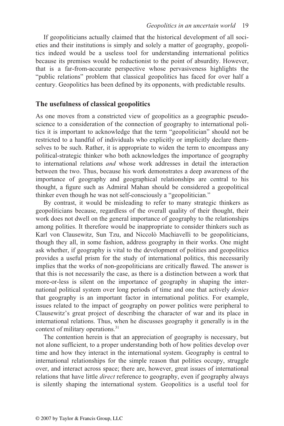If geopoliticians actually claimed that the historical development of all societies and their institutions is simply and solely a matter of geography, geopolitics indeed would be a useless tool for understanding international politics because its premises would be reductionist to the point of absurdity. However, that is a far-from-accurate perspective whose pervasiveness highlights the "public relations" problem that classical geopolitics has faced for over half a century. Geopolitics has been defined by its opponents, with predictable results.

#### **The usefulness of classical geopolitics**

As one moves from a constricted view of geopolitics as a geographic pseudoscience to a consideration of the connection of geography to international politics it is important to acknowledge that the term "geopolitician" should not be restricted to a handful of individuals who explicitly or implicitly declare themselves to be such. Rather, it is appropriate to widen the term to encompass any political-strategic thinker who both acknowledges the importance of geography to international relations *and* whose work addresses in detail the interaction between the two. Thus, because his work demonstrates a deep awareness of the importance of geography and geographical relationships are central to his thought, a figure such as Admiral Mahan should be considered a geopolitical thinker even though he was not self-consciously a "geopolitician."

By contrast, it would be misleading to refer to many strategic thinkers as geopoliticians because, regardless of the overall quality of their thought, their work does not dwell on the general importance of geography to the relationships among polities. It therefore would be inappropriate to consider thinkers such as Karl von Clausewitz, Sun Tzu, and Niccolò Machiavelli to be geopoliticians, though they all, in some fashion, address geography in their works. One might ask whether, if geography is vital to the development of polities and geopolitics provides a useful prism for the study of international politics, this necessarily implies that the works of non-geopoliticians are critically flawed. The answer is that this is not necessarily the case, as there is a distinction between a work that more-or-less is silent on the importance of geography in shaping the international political system over long periods of time and one that actively *denies* that geography is an important factor in international politics. For example, issues related to the impact of geography on power politics were peripheral to Clausewitz's great project of describing the character of war and its place in international relations. Thus, when he discusses geography it generally is in the context of military operations.<sup>31</sup>

The contention herein is that an appreciation of geography is necessary, but not alone sufficient, to a proper understanding both of how polities develop over time and how they interact in the international system. Geography is central to international relationships for the simple reason that polities occupy, struggle over, and interact across space; there are, however, great issues of international relations that have little *direct* reference to geography, even if geography always is silently shaping the international system. Geopolitics is a useful tool for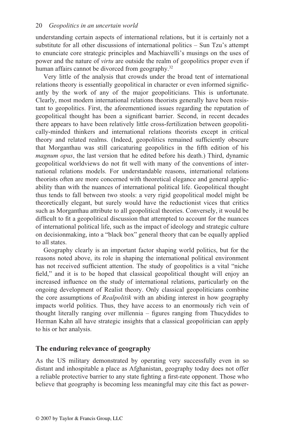understanding certain aspects of international relations, but it is certainly not a substitute for all other discussions of international politics – Sun Tzu's attempt to enunciate core strategic principles and Machiavelli's musings on the uses of power and the nature of *virtu* are outside the realm of geopolitics proper even if human affairs cannot be divorced from geography.<sup>32</sup>

Very little of the analysis that crowds under the broad tent of international relations theory is essentially geopolitical in character or even informed significantly by the work of any of the major geopoliticians. This is unfortunate. Clearly, most modern international relations theorists generally have been resistant to geopolitics. First, the aforementioned issues regarding the reputation of geopolitical thought has been a significant barrier. Second, in recent decades there appears to have been relatively little cross-fertilization between geopolitically-minded thinkers and international relations theorists except in critical theory and related realms. (Indeed, geopolitics remained sufficiently obscure that Morganthau was still caricaturing geopolitics in the fifth edition of his *magnum opus*, the last version that he edited before his death.) Third, dynamic geopolitical worldviews do not fit well with many of the conventions of international relations models. For understandable reasons, international relations theorists often are more concerned with theoretical elegance and general applicability than with the nuances of international political life. Geopolitical thought thus tends to fall between two stools: a very rigid geopolitical model might be theoretically elegant, but surely would have the reductionist vices that critics such as Morganthau attribute to all geopolitical theories. Conversely, it would be difficult to fit a geopolitical discussion that attempted to account for the nuances of international political life, such as the impact of ideology and strategic culture on decisionmaking, into a "black box" general theory that can be equally applied to all states.

Geography clearly is an important factor shaping world politics, but for the reasons noted above, its role in shaping the international political environment has not received sufficient attention. The study of geopolitics is a vital "niche field," and it is to be hoped that classical geopolitical thought will enjoy an increased influence on the study of international relations, particularly on the ongoing development of Realist theory. Only classical geopoliticians combine the core assumptions of *Realpolitik* with an abiding interest in how geography impacts world politics. Thus, they have access to an enormously rich vein of thought literally ranging over millennia – figures ranging from Thucydides to Herman Kahn all have strategic insights that a classical geopolitician can apply to his or her analysis.

#### **The enduring relevance of geography**

As the US military demonstrated by operating very successfully even in so distant and inhospitable a place as Afghanistan, geography today does not offer a reliable protective barrier to any state fighting a first-rate opponent. Those who believe that geography is becoming less meaningful may cite this fact as power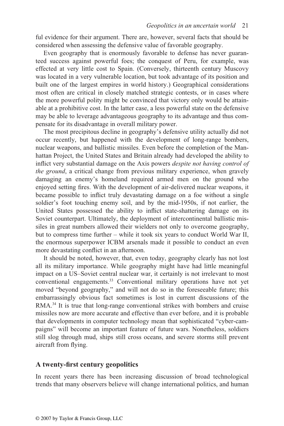ful evidence for their argument. There are, however, several facts that should be considered when assessing the defensive value of favorable geography.

Even geography that is enormously favorable to defense has never guaranteed success against powerful foes; the conquest of Peru, for example, was effected at very little cost to Spain. (Conversely, thirteenth century Muscovy was located in a very vulnerable location, but took advantage of its position and built one of the largest empires in world history.) Geographical considerations most often are critical in closely matched strategic contests, or in cases where the more powerful polity might be convinced that victory only would be attainable at a prohibitive cost. In the latter case, a less powerful state on the defensive may be able to leverage advantageous geography to its advantage and thus compensate for its disadvantage in overall military power.

The most precipitous decline in geography's defensive utility actually did not occur recently, but happened with the development of long-range bombers, nuclear weapons, and ballistic missiles. Even before the completion of the Manhattan Project, the United States and Britain already had developed the ability to inflict very substantial damage on the Axis powers *despite not having control of the ground*, a critical change from previous military experience, when gravely damaging an enemy's homeland required armed men on the ground who enjoyed setting fires. With the development of air-delivered nuclear weapons, it became possible to inflict truly devastating damage on a foe without a single soldier's foot touching enemy soil, and by the mid-1950s, if not earlier, the United States possessed the ability to inflict state-shattering damage on its Soviet counterpart. Ultimately, the deployment of intercontinental ballistic missiles in great numbers allowed their wielders not only to overcome geography, but to compress time further – while it took six years to conduct World War II, the enormous superpower ICBM arsenals made it possible to conduct an even more devastating conflict in an afternoon.

It should be noted, however, that, even today, geography clearly has not lost all its military importance. While geography might have had little meaningful impact on a US–Soviet central nuclear war, it certainly is not irrelevant to most conventional engagements.33 Conventional military operations have not yet moved "beyond geography," and will not do so in the foreseeable future; this embarrassingly obvious fact sometimes is lost in current discussions of the RMA.<sup>34</sup> It is true that long-range conventional strikes with bombers and cruise missiles now are more accurate and effective than ever before, and it is probable that developments in computer technology mean that sophisticated "cyber-campaigns" will become an important feature of future wars. Nonetheless, soldiers still slog through mud, ships still cross oceans, and severe storms still prevent aircraft from flying.

#### **A twenty-first century geopolitics**

In recent years there has been increasing discussion of broad technological trends that many observers believe will change international politics, and human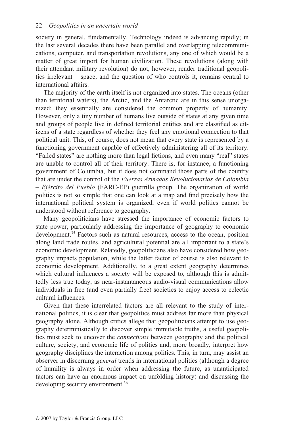society in general, fundamentally. Technology indeed is advancing rapidly; in the last several decades there have been parallel and overlapping telecommunications, computer, and transportation revolutions, any one of which would be a matter of great import for human civilization. These revolutions (along with their attendant military revolution) do not, however, render traditional geopolitics irrelevant – space, and the question of who controls it, remains central to international affairs.

The majority of the earth itself is not organized into states. The oceans (other than territorial waters), the Arctic, and the Antarctic are in this sense unorganized; they essentially are considered the common property of humanity. However, only a tiny number of humans live outside of states at any given time and groups of people live in defined territorial entities and are classified as citizens of a state regardless of whether they feel any emotional connection to that political unit. This, of course, does not mean that every state is represented by a functioning government capable of effectively administering all of its territory. "Failed states" are nothing more than legal fictions, and even many "real" states are unable to control all of their territory. There is, for instance, a functioning government of Columbia, but it does not command those parts of the country that are under the control of the *Fuerzas Armadas Revolucionarias de Colombia – Ejército del Pueblo* (FARC-EP) guerrilla group. The organization of world politics is not so simple that one can look at a map and find precisely how the international political system is organized, even if world politics cannot be understood without reference to geography.

Many geopoliticians have stressed the importance of economic factors to state power, particularly addressing the importance of geography to economic development.<sup>35</sup> Factors such as natural resources, access to the ocean, position along land trade routes, and agricultural potential are all important to a state's economic development. Relatedly, geopoliticians also have considered how geography impacts population, while the latter factor of course is also relevant to economic development. Additionally, to a great extent geography determines which cultural influences a society will be exposed to, although this is admittedly less true today, as near-instantaneous audio-visual communications allow individuals in free (and even partially free) societies to enjoy access to eclectic cultural influences.

Given that these interrelated factors are all relevant to the study of international politics, it is clear that geopolitics must address far more than physical geography alone. Although critics allege that geopoliticians attempt to use geography deterministically to discover simple immutable truths, a useful geopolitics must seek to uncover the *connections* between geography and the political culture, society, and economic life of polities and, more broadly, interpret how geography disciplines the interaction among polities. This, in turn, may assist an observer in discerning *general* trends in international politics (although a degree of humility is always in order when addressing the future, as unanticipated factors can have an enormous impact on unfolding history) and discussing the developing security environment.<sup>36</sup>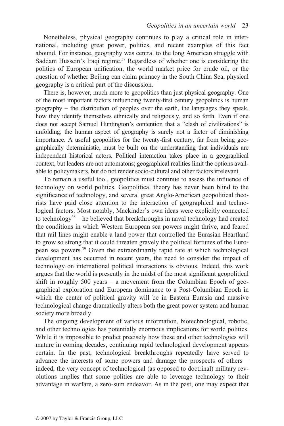Nonetheless, physical geography continues to play a critical role in international, including great power, politics, and recent examples of this fact abound. For instance, geography was central to the long American struggle with Saddam Hussein's Iraqi regime. $37$  Regardless of whether one is considering the politics of European unification, the world market price for crude oil, or the question of whether Beijing can claim primacy in the South China Sea, physical geography is a critical part of the discussion.

There is, however, much more to geopolitics than just physical geography. One of the most important factors influencing twenty-first century geopolitics is human geography – the distribution of peoples over the earth, the languages they speak, how they identify themselves ethnically and religiously, and so forth. Even if one does not accept Samuel Huntington's contention that a "clash of civilizations" is unfolding, the human aspect of geography is surely not a factor of diminishing importance. A useful geopolitics for the twenty-first century, far from being geographically deterministic, must be built on the understanding that individuals are independent historical actors. Political interaction takes place in a geographical context, but leaders are not automatons; geographical realities limit the options available to policymakers, but do not render socio-cultural and other factors irrelevant.

To remain a useful tool, geopolitics must continue to assess the influence of technology on world politics. Geopolitical theory has never been blind to the significance of technology, and several great Anglo-American geopolitical theorists have paid close attention to the interaction of geographical and technological factors. Most notably, Mackinder's own ideas were explicitly connected to technology<sup>38</sup> – he believed that breakthroughs in naval technology had created the conditions in which Western European sea powers might thrive, and feared that rail lines might enable a land power that controlled the Eurasian Heartland to grow so strong that it could threaten gravely the political fortunes of the European sea powers.39 Given the extraordinarily rapid rate at which technological development has occurred in recent years, the need to consider the impact of technology on international political interactions is obvious. Indeed, this work argues that the world is presently in the midst of the most significant geopolitical shift in roughly 500 years – a movement from the Columbian Epoch of geographical exploration and European dominance to a Post-Columbian Epoch in which the center of political gravity will be in Eastern Eurasia and massive technological change dramatically alters both the great power system and human society more broadly.

The ongoing development of various information, biotechnological, robotic, and other technologies has potentially enormous implications for world politics. While it is impossible to predict precisely how these and other technologies will mature in coming decades, continuing rapid technological development appears certain. In the past, technological breakthroughs repeatedly have served to advance the interests of some powers and damage the prospects of others – indeed, the very concept of technological (as opposed to doctrinal) military revolutions implies that some polities are able to leverage technology to their advantage in warfare, a zero-sum endeavor. As in the past, one may expect that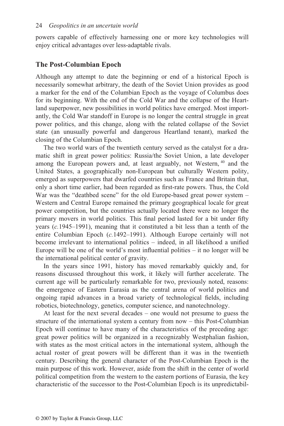powers capable of effectively harnessing one or more key technologies will enjoy critical advantages over less-adaptable rivals.

#### **The Post-Columbian Epoch**

Although any attempt to date the beginning or end of a historical Epoch is necessarily somewhat arbitrary, the death of the Soviet Union provides as good a marker for the end of the Columbian Epoch as the voyage of Columbus does for its beginning. With the end of the Cold War and the collapse of the Heartland superpower, new possibilities in world politics have emerged. Most importantly, the Cold War standoff in Europe is no longer the central struggle in great power politics, and this change, along with the related collapse of the Soviet state (an unusually powerful and dangerous Heartland tenant), marked the closing of the Columbian Epoch.

The two world wars of the twentieth century served as the catalyst for a dramatic shift in great power politics: Russia/the Soviet Union, a late developer among the European powers and, at least arguably, not Western, <sup>40</sup> and the United States, a geographically non-European but culturally Western polity, emerged as superpowers that dwarfed countries such as France and Britain that, only a short time earlier, had been regarded as first-rate powers. Thus, the Cold War was the "deathbed scene" for the old Europe-based great power system – Western and Central Europe remained the primary geographical locale for great power competition, but the countries actually located there were no longer the primary movers in world politics. This final period lasted for a bit under fifty years (*c.*1945–1991), meaning that it constituted a bit less than a tenth of the entire Columbian Epoch (*c.*1492–1991). Although Europe certainly will not become irrelevant to international politics – indeed, in all likelihood a unified Europe will be one of the world's most influential polities – it no longer will be the international political center of gravity.

In the years since 1991, history has moved remarkably quickly and, for reasons discussed throughout this work, it likely will further accelerate. The current age will be particularly remarkable for two, previously noted, reasons: the emergence of Eastern Eurasia as the central arena of world politics and ongoing rapid advances in a broad variety of technological fields, including robotics, biotechnology, genetics, computer science, and nanotechnology.

At least for the next several decades – one would not presume to guess the structure of the international system a century from now – this Post-Columbian Epoch will continue to have many of the characteristics of the preceding age: great power politics will be organized in a recognizably Westphalian fashion, with states as the most critical actors in the international system, although the actual roster of great powers will be different than it was in the twentieth century. Describing the general character of the Post-Columbian Epoch is the main purpose of this work. However, aside from the shift in the center of world political competition from the western to the eastern portions of Eurasia, the key characteristic of the successor to the Post-Columbian Epoch is its unpredictabil